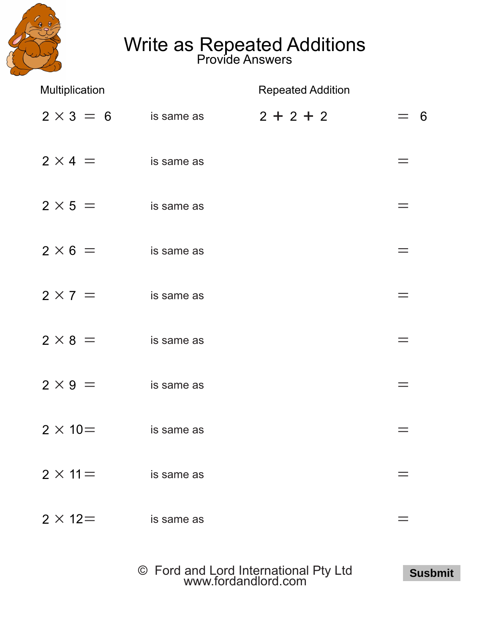

## Write as Repeated Additions

Provide Answers

| Multiplication   |            | <b>Repeated Addition</b> |     |  |
|------------------|------------|--------------------------|-----|--|
| $2 \times 3 = 6$ | is same as | $2 + 2 + 2$              | - 6 |  |
| $2 \times 4 =$   | is same as |                          |     |  |
| $2 \times 5 =$   | is same as |                          |     |  |
| $2 \times 6 =$   | is same as |                          |     |  |
| $2 \times 7 =$   | is same as |                          |     |  |
| $2 \times 8 =$   | is same as |                          |     |  |
| $2 \times 9 =$   | is same as |                          |     |  |
| $2 \times 10=$   | is same as |                          |     |  |
| $2 \times 11 =$  | is same as |                          |     |  |
| $2 \times 12 =$  | is same as |                          |     |  |

© Ford and Lord International Pty Ltd [www.fordandlord.com](http://www.fordandlord.com)

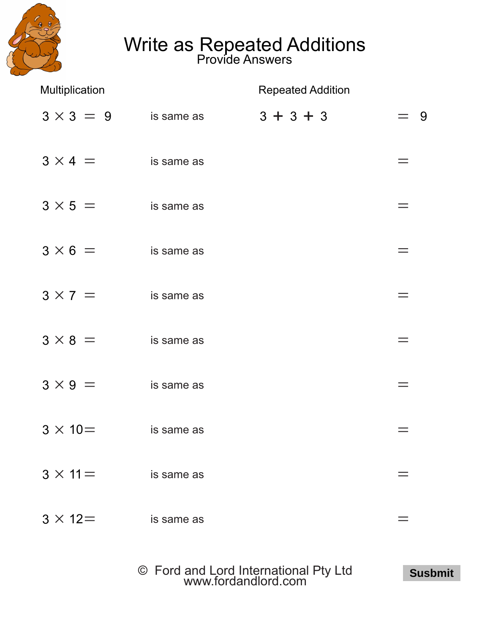

## Write as Repeated Additions

Provide Answers

| Multiplication   |            | <b>Repeated Addition</b> |     |  |
|------------------|------------|--------------------------|-----|--|
| $3 \times 3 = 9$ | is same as | $3 + 3 + 3$              | - 9 |  |
| $3 \times 4 =$   | is same as |                          |     |  |
| $3 \times 5 =$   | is same as |                          |     |  |
| $3 \times 6 =$   | is same as |                          | $=$ |  |
| $3 \times 7 =$   | is same as |                          |     |  |
| $3 \times 8 =$   | is same as |                          |     |  |
| $3 \times 9 =$   | is same as |                          | $=$ |  |
| $3 \times 10 =$  | is same as |                          |     |  |
| $3 \times 11 =$  | is same as |                          |     |  |
| $3 \times 12 =$  | is same as |                          |     |  |

© Ford and Lord International Pty Ltd [www.fordandlord.com](http://www.fordandlord.com)

**Susbmit**